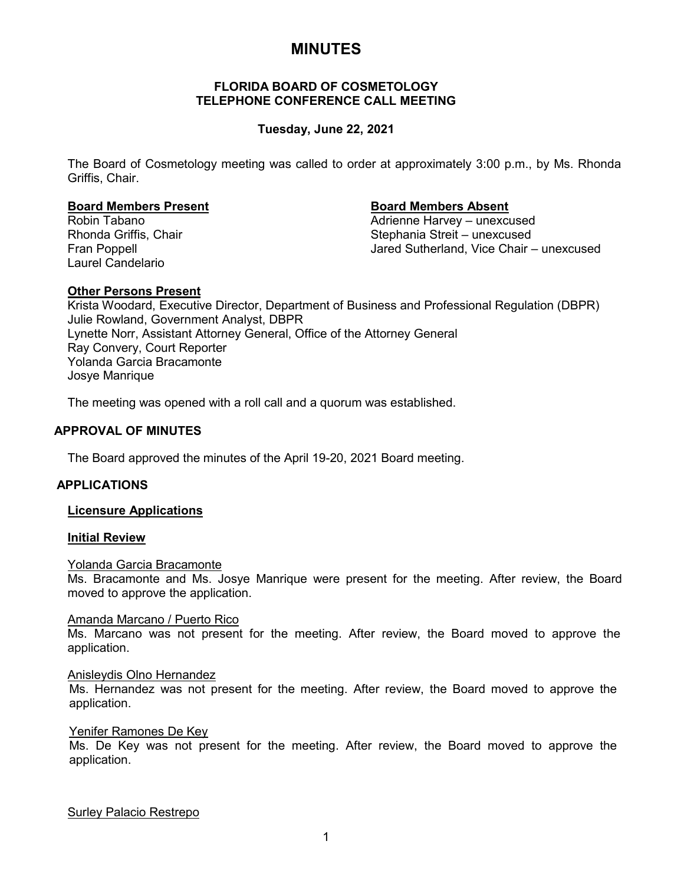# **MINUTES**

# **FLORIDA BOARD OF COSMETOLOGY TELEPHONE CONFERENCE CALL MEETING**

# **Tuesday, June 22, 2021**

The Board of Cosmetology meeting was called to order at approximately 3:00 p.m., by Ms. Rhonda Griffis, Chair.

#### **Board Members Present Board Members Absent**

Laurel Candelario

Robin Tabano Adrienne Harvey – unexcused Stephania Streit – unexcused Fran Poppell Jared Sutherland, Vice Chair – unexcused

#### **Other Persons Present**

Krista Woodard, Executive Director, Department of Business and Professional Regulation (DBPR) Julie Rowland, Government Analyst, DBPR Lynette Norr, Assistant Attorney General, Office of the Attorney General Ray Convery, Court Reporter Yolanda Garcia Bracamonte Josye Manrique

The meeting was opened with a roll call and a quorum was established.

## **APPROVAL OF MINUTES**

The Board approved the minutes of the April 19-20, 2021 Board meeting.

#### **APPLICATIONS**

### **Licensure Applications**

#### **Initial Review**

#### Yolanda Garcia Bracamonte

Ms. Bracamonte and Ms. Josye Manrique were present for the meeting. After review, the Board moved to approve the application.

#### Amanda Marcano / Puerto Rico

Ms. Marcano was not present for the meeting. After review, the Board moved to approve the application.

#### Anisleydis Olno Hernandez

Ms. Hernandez was not present for the meeting. After review, the Board moved to approve the application.

#### Yenifer Ramones De Key

Ms. De Key was not present for the meeting. After review, the Board moved to approve the application.

Surley Palacio Restrepo